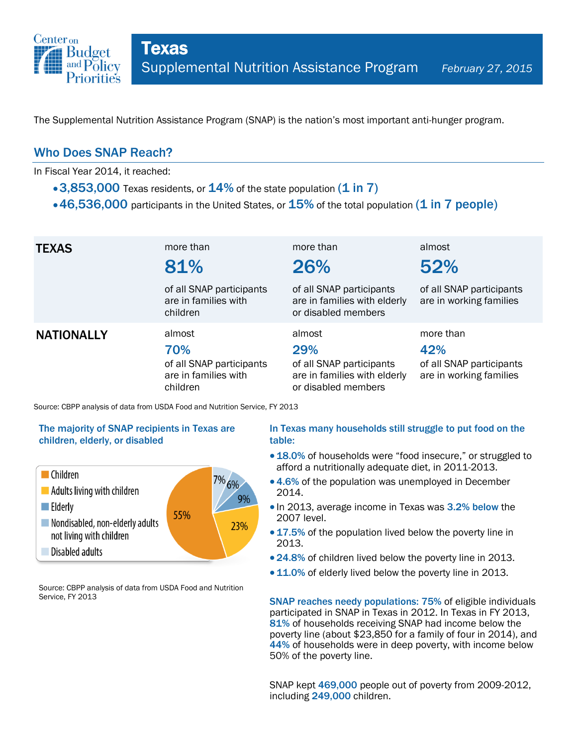

The Supplemental Nutrition Assistance Program (SNAP) is the nation's most important anti-hunger program.

### Who Does SNAP Reach?

In Fiscal Year 2014, it reached:

- $\cdot$  3,853,000 Texas residents, or  $14\%$  of the state population (1 in 7)
- $\cdot$  46,536,000 participants in the United States, or  $15\%$  of the total population (1 in 7 people)

| <b>TEXAS</b>      | more than<br>81%<br>of all SNAP participants<br>are in families with<br>children | more than<br>26%<br>of all SNAP participants<br>are in families with elderly<br>or disabled members | almost<br>52%<br>of all SNAP participants<br>are in working families    |
|-------------------|----------------------------------------------------------------------------------|-----------------------------------------------------------------------------------------------------|-------------------------------------------------------------------------|
| <b>NATIONALLY</b> | almost<br>70%<br>of all SNAP participants<br>are in families with<br>children    | almost<br>29%<br>of all SNAP participants<br>are in families with elderly<br>or disabled members    | more than<br>42%<br>of all SNAP participants<br>are in working families |

Source: CBPP analysis of data from USDA Food and Nutrition Service, FY 2013

#### The majority of SNAP recipients in Texas are children, elderly, or disabled



Source: CBPP analysis of data from USDA Food and Nutrition Service, FY 2013

#### In Texas many households still struggle to put food on the table:

- 18.0% of households were "food insecure," or struggled to afford a nutritionally adequate diet, in 2011-2013.
- 4.6% of the population was unemployed in December 2014.
- In 2013, average income in Texas was 3.2% below the 2007 level.
- 17.5% of the population lived below the poverty line in 2013.
- 24.8% of children lived below the poverty line in 2013.
- 11.0% of elderly lived below the poverty line in 2013.

SNAP reaches needy populations: 75% of eligible individuals participated in SNAP in Texas in 2012. In Texas in FY 2013, 81% of households receiving SNAP had income below the poverty line (about \$23,850 for a family of four in 2014), and 44% of households were in deep poverty, with income below 50% of the poverty line.

SNAP kept 469,000 people out of poverty from 2009-2012, including 249,000 children.